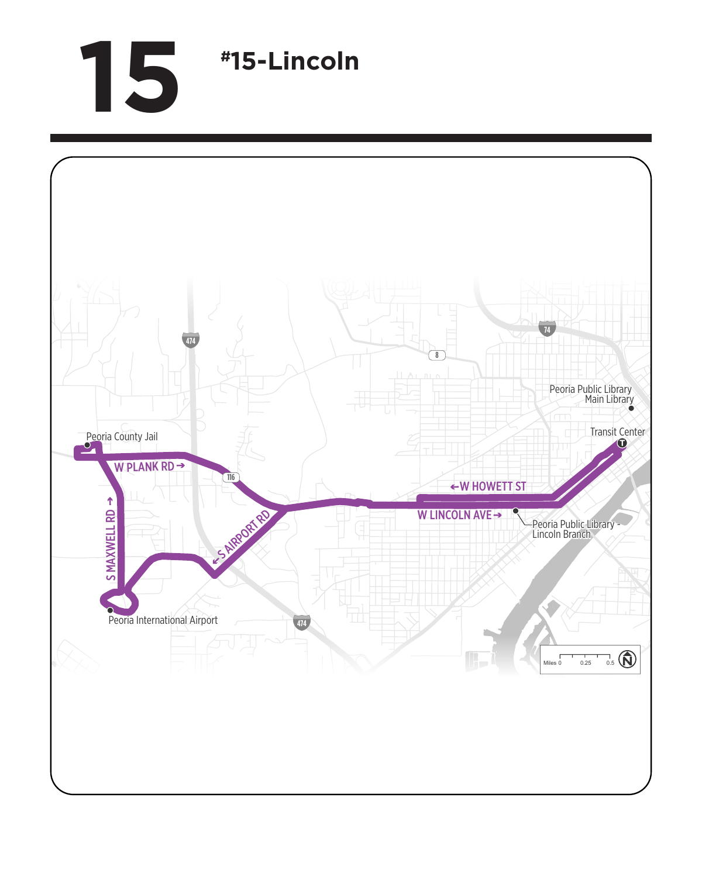## **15 #15-Lincoln**